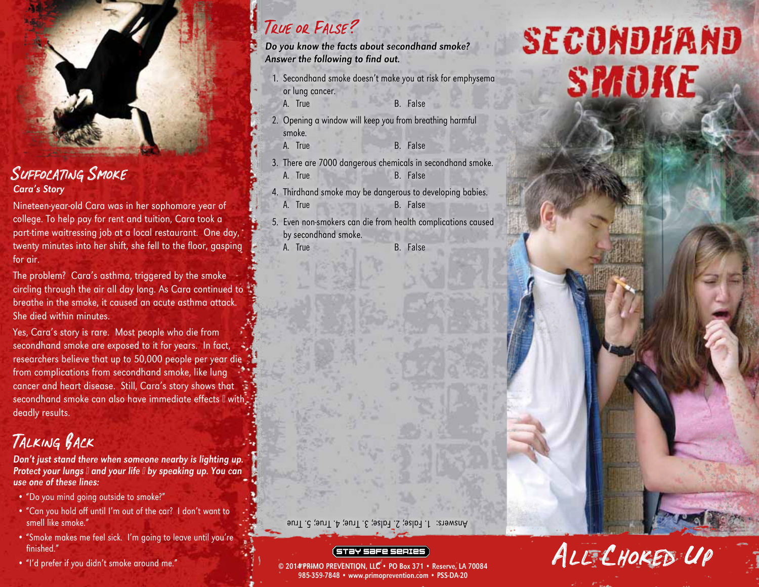

### SUFFOCATING SMOKE Cara's Story

Nineteen-year-old Cara was in her sophomore year of college. To help pay for rent and tuition, Cara took a part-time waitressing job at a local restaurant. One day, twenty minutes into her shift, she fell to the floor, gasping for air.

The problem? Cara's asthma, triggered by the smoke circling through the air all day long. As Cara continued to breathe in the smoke, it caused an acute asthma attack. She died within minutes.

Yes, Cara's story is rare. Most people who die from secondhand smoke are exposed to it for years. In fact, researchers believe that up to 50,000 people per year die from complications from secondhand smoke, like lung cancer and heart disease. Still, Cara's story shows that secondhand smoke can also have immediate effects I with deadly results.

## Talking Back

Don't just stand there when someone nearby is lighting up. Protect your lungs I and your life I by speaking up. You can use one of these lines:

- "Do you mind going outside to smoke?"
- "Can you hold off until I'm out of the car? I don't want to smell like smoke."
- "Smoke makes me feel sick. I'm going to leave until you're finished." Finished."<br>• "I'd prefer if you didn't smoke around me." © 2014 PRIMO PREVENTION, LLC • PO Box 371 • Reserve, LA 70084
- 

## True or False ?

- Do you know the facts about secondhand smoke? Answer the following to find out.
	- 1. Secondhand smoke doesn't make you at risk for emphysema or lung cancer.
		- A. True B. False
			-
	- 2. Opening a window will keep you from breathing harmful smoke.
		- A. True B. False
	- 3. There are 7000 dangerous chemicals in secondhand smoke. A. True B. False
	- 4. Thirdhand smoke may be dangerous to developing babies. A. True B. False
	- 5. Even non-smokers can die from health complications caused by secondhand smoke.
		-
		- A. True B. False

Answers: 1. False; 2. False; 3. True; 4. True; 5. True

985-359-7848 • www.primoprevention.com • PSS-DA-20

# SECONDHAND SMOKE